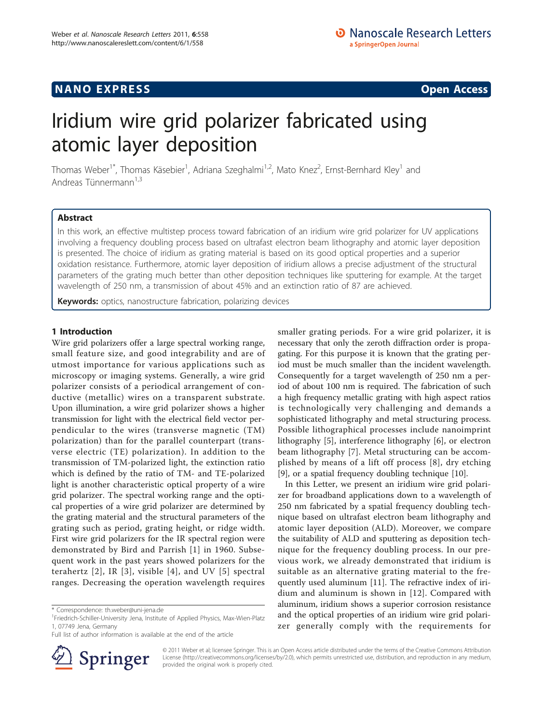## **NANO EXPRESS** Open Access and the set of the set of the set of the set of the set of the set of the set of the set of the set of the set of the set of the set of the set of the set of the set of the set of the set of the

# Iridium wire grid polarizer fabricated using atomic layer deposition

Thomas Weber<sup>1\*</sup>, Thomas Käsebier<sup>1</sup>, Adriana Szeghalmi<sup>1,2</sup>, Mato Knez<sup>2</sup>, Ernst-Bernhard Kley<sup>1</sup> and Andreas Tünnermann<sup>1,3</sup>

## Abstract

In this work, an effective multistep process toward fabrication of an iridium wire grid polarizer for UV applications involving a frequency doubling process based on ultrafast electron beam lithography and atomic layer deposition is presented. The choice of iridium as grating material is based on its good optical properties and a superior oxidation resistance. Furthermore, atomic layer deposition of iridium allows a precise adjustment of the structural parameters of the grating much better than other deposition techniques like sputtering for example. At the target wavelength of 250 nm, a transmission of about 45% and an extinction ratio of 87 are achieved.

Keywords: optics, nanostructure fabrication, polarizing devices

## 1 Introduction

Wire grid polarizers offer a large spectral working range, small feature size, and good integrability and are of utmost importance for various applications such as microscopy or imaging systems. Generally, a wire grid polarizer consists of a periodical arrangement of conductive (metallic) wires on a transparent substrate. Upon illumination, a wire grid polarizer shows a higher transmission for light with the electrical field vector perpendicular to the wires (transverse magnetic (TM) polarization) than for the parallel counterpart (transverse electric (TE) polarization). In addition to the transmission of TM-polarized light, the extinction ratio which is defined by the ratio of TM- and TE-polarized light is another characteristic optical property of a wire grid polarizer. The spectral working range and the optical properties of a wire grid polarizer are determined by the grating material and the structural parameters of the grating such as period, grating height, or ridge width. First wire grid polarizers for the IR spectral region were demonstrated by Bird and Parrish [[1\]](#page-3-0) in 1960. Subsequent work in the past years showed polarizers for the terahertz [[2](#page-3-0)], IR [[3\]](#page-3-0), visible [[4](#page-3-0)], and UV [[5](#page-3-0)] spectral ranges. Decreasing the operation wavelength requires

Full list of author information is available at the end of the article



smaller grating periods. For a wire grid polarizer, it is necessary that only the zeroth diffraction order is propagating. For this purpose it is known that the grating period must be much smaller than the incident wavelength. Consequently for a target wavelength of 250 nm a period of about 100 nm is required. The fabrication of such a high frequency metallic grating with high aspect ratios is technologically very challenging and demands a sophisticated lithography and metal structuring process. Possible lithographical processes include nanoimprint lithography [\[5](#page-3-0)], interference lithography [[6\]](#page-3-0), or electron beam lithography [\[7](#page-3-0)]. Metal structuring can be accomplished by means of a lift off process [[8\]](#page-3-0), dry etching [[9\]](#page-3-0), or a spatial frequency doubling technique [[10](#page-3-0)].

In this Letter, we present an iridium wire grid polarizer for broadband applications down to a wavelength of 250 nm fabricated by a spatial frequency doubling technique based on ultrafast electron beam lithography and atomic layer deposition (ALD). Moreover, we compare the suitability of ALD and sputtering as deposition technique for the frequency doubling process. In our previous work, we already demonstrated that iridium is suitable as an alternative grating material to the frequently used aluminum [\[11](#page-3-0)]. The refractive index of iridium and aluminum is shown in [[12\]](#page-3-0). Compared with aluminum, iridium shows a superior corrosion resistance and the optical properties of an iridium wire grid polarizer generally comply with the requirements for

© 2011 Weber et al; licensee Springer. This is an Open Access article distributed under the terms of the Creative Commons Attribution License [\(http://creativecommons.org/licenses/by/2.0](http://creativecommons.org/licenses/by/2.0)), which permits unrestricted use, distribution, and reproduction in any medium, provided the original work is properly cited.

<sup>\*</sup> Correspondence: [th.weber@uni-jena.de](mailto:th.weber@uni-jena.de)

<sup>&</sup>lt;sup>1</sup> Friedrich-Schiller-University Jena, Institute of Applied Physics, Max-Wien-Platz 1, 07749 Jena, Germany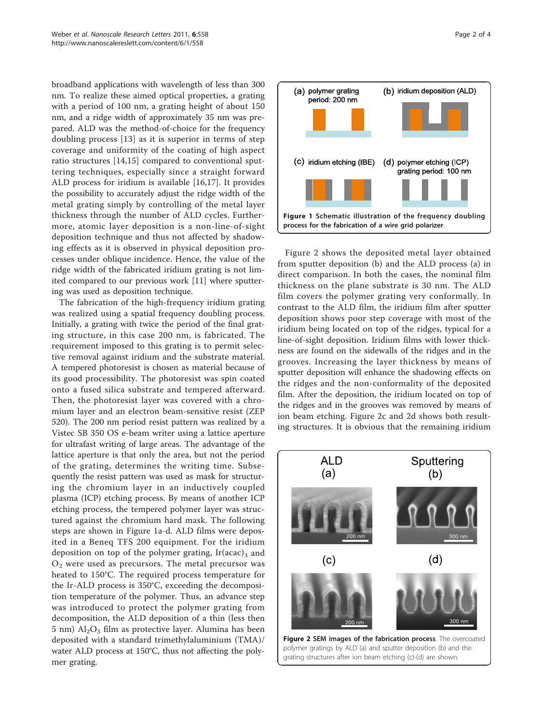broadband applications with wavelength of less than 300 nm. To realize these aimed optical properties, a grating with a period of 100 nm, a grating height of about 150 nm, and a ridge width of approximately 35 nm was prepared. ALD was the method-of-choice for the frequency doubling process [[13\]](#page-3-0) as it is superior in terms of step coverage and uniformity of the coating of high aspect ratio structures [\[14](#page-3-0),[15\]](#page-3-0) compared to conventional sputtering techniques, especially since a straight forward ALD process for iridium is available [[16,17\]](#page-3-0). It provides the possibility to accurately adjust the ridge width of the metal grating simply by controlling of the metal layer thickness through the number of ALD cycles. Furthermore, atomic layer deposition is a non-line-of-sight deposition technique and thus not affected by shadowing effects as it is observed in physical deposition processes under oblique incidence. Hence, the value of the ridge width of the fabricated iridium grating is not limited compared to our previous work [[11\]](#page-3-0) where sputtering was used as deposition technique.

The fabrication of the high-frequency iridium grating was realized using a spatial frequency doubling process. Initially, a grating with twice the period of the final grating structure, in this case 200 nm, is fabricated. The requirement imposed to this grating is to permit selective removal against iridium and the substrate material. A tempered photoresist is chosen as material because of its good processibility. The photoresist was spin coated onto a fused silica substrate and tempered afterward. Then, the photoresist layer was covered with a chromium layer and an electron beam-sensitive resist (ZEP 520). The 200 nm period resist pattern was realized by a Vistec SB 350 OS e-beam writer using a lattice aperture for ultrafast writing of large areas. The advantage of the lattice aperture is that only the area, but not the period of the grating, determines the writing time. Subsequently the resist pattern was used as mask for structuring the chromium layer in an inductively coupled plasma (ICP) etching process. By means of another ICP etching process, the tempered polymer layer was structured against the chromium hard mask. The following steps are shown in Figure 1a-d. ALD films were deposited in a Beneq TFS 200 equipment. For the iridium deposition on top of the polymer grating, Ir(acac)<sub>3</sub> and  $O<sub>2</sub>$  were used as precursors. The metal precursor was heated to 150°C. The required process temperature for the Ir-ALD process is 350°C, exceeding the decomposition temperature of the polymer. Thus, an advance step was introduced to protect the polymer grating from decomposition, the ALD deposition of a thin (less then  $5$  nm)  $Al<sub>2</sub>O<sub>3</sub>$  film as protective layer. Alumina has been deposited with a standard trimethylaluminium (TMA)/ water ALD process at 150°C, thus not affecting the polymer grating.





Figure 2 shows the deposited metal layer obtained from sputter deposition (b) and the ALD process (a) in direct comparison. In both the cases, the nominal film thickness on the plane substrate is 30 nm. The ALD film covers the polymer grating very conformally. In contrast to the ALD film, the iridium film after sputter deposition shows poor step coverage with most of the iridium being located on top of the ridges, typical for a line-of-sight deposition. Iridium films with lower thickness are found on the sidewalls of the ridges and in the grooves. Increasing the layer thickness by means of sputter deposition will enhance the shadowing effects on the ridges and the non-conformality of the deposited film. After the deposition, the iridium located on top of the ridges and in the grooves was removed by means of ion beam etching. Figure 2c and 2d shows both resulting structures. It is obvious that the remaining iridium



polymer gratings by ALD (a) and sputter deposition (b) and the grating structures after ion beam etching (c)-(d) are shown.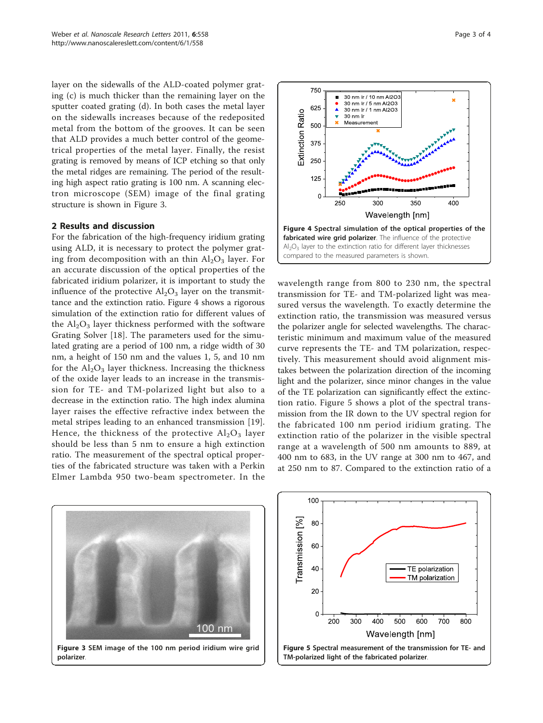layer on the sidewalls of the ALD-coated polymer grating (c) is much thicker than the remaining layer on the sputter coated grating (d). In both cases the metal layer on the sidewalls increases because of the redeposited metal from the bottom of the grooves. It can be seen that ALD provides a much better control of the geometrical properties of the metal layer. Finally, the resist grating is removed by means of ICP etching so that only the metal ridges are remaining. The period of the resulting high aspect ratio grating is 100 nm. A scanning electron microscope (SEM) image of the final grating structure is shown in Figure 3.

### 2 Results and discussion

For the fabrication of the high-frequency iridium grating using ALD, it is necessary to protect the polymer grating from decomposition with an thin  $Al_2O_3$  layer. For an accurate discussion of the optical properties of the fabricated iridium polarizer, it is important to study the influence of the protective  $\text{Al}_2\text{O}_3$  layer on the transmittance and the extinction ratio. Figure 4 shows a rigorous simulation of the extinction ratio for different values of the  $Al_2O_3$  layer thickness performed with the software Grating Solver [\[18](#page-3-0)]. The parameters used for the simulated grating are a period of 100 nm, a ridge width of 30 nm, a height of 150 nm and the values 1, 5, and 10 nm for the  $Al_2O_3$  layer thickness. Increasing the thickness of the oxide layer leads to an increase in the transmission for TE- and TM-polarized light but also to a decrease in the extinction ratio. The high index alumina layer raises the effective refractive index between the metal stripes leading to an enhanced transmission [[19](#page-3-0)]. Hence, the thickness of the protective  $Al_2O_3$  layer should be less than 5 nm to ensure a high extinction ratio. The measurement of the spectral optical properties of the fabricated structure was taken with a Perkin Elmer Lambda 950 two-beam spectrometer. In the





wavelength range from 800 to 230 nm, the spectral transmission for TE- and TM-polarized light was measured versus the wavelength. To exactly determine the extinction ratio, the transmission was measured versus the polarizer angle for selected wavelengths. The characteristic minimum and maximum value of the measured curve represents the TE- and TM polarization, respectively. This measurement should avoid alignment mistakes between the polarization direction of the incoming light and the polarizer, since minor changes in the value of the TE polarization can significantly effect the extinction ratio. Figure 5 shows a plot of the spectral transmission from the IR down to the UV spectral region for the fabricated 100 nm period iridium grating. The extinction ratio of the polarizer in the visible spectral range at a wavelength of 500 nm amounts to 889, at 400 nm to 683, in the UV range at 300 nm to 467, and at 250 nm to 87. Compared to the extinction ratio of a